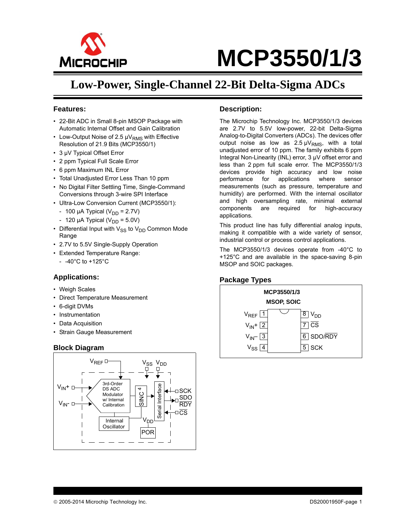

## **Low-Power, Single-Channel 22-Bit Delta-Sigma ADCs**

#### **Features:**

- 22-Bit ADC in Small 8-pin MSOP Package with Automatic Internal Offset and Gain Calibration
- Low-Output Noise of 2.5  $\mu V_{RMS}$  with Effective Resolution of 21.9 Bits (MCP3550/1)
- 3 µV Typical Offset Error
- 2 ppm Typical Full Scale Error
- 6 ppm Maximum INL Error
- Total Unadjusted Error Less Than 10 ppm
- No Digital Filter Settling Time, Single-Command Conversions through 3-wire SPI Interface
- Ultra-Low Conversion Current (MCP3550/1):
	- 100 µA Typical ( $V_{DD}$  = 2.7V)
	- 120 µA Typical ( $V_{DD}$  = 5.0V)
- Differential Input with  $V_{SS}$  to  $V_{DD}$  Common Mode Range
- 2.7V to 5.5V Single-Supply Operation
- Extended Temperature Range:
	- $-40^{\circ}$ C to  $+125^{\circ}$ C

#### **Applications:**

- Weigh Scales
- Direct Temperature Measurement
- 6-digit DVMs
- Instrumentation
- Data Acquisition
- Strain Gauge Measurement

#### **Block Diagram**



#### **Description:**

The Microchip Technology Inc. MCP3550/1/3 devices are 2.7V to 5.5V low-power, 22-bit Delta-Sigma Analog-to-Digital Converters (ADCs). The devices offer output noise as low as  $2.5 \mu V_{RMS}$ , with a total unadjusted error of 10 ppm. The family exhibits 6 ppm Integral Non-Linearity (INL) error, 3 µV offset error and less than 2 ppm full scale error. The MCP3550/1/3 devices provide high accuracy and low noise performance for applications where sensor measurements (such as pressure, temperature and humidity) are performed. With the internal oscillator and high oversampling rate, minimal external components are required for high-accuracy applications.

This product line has fully differential analog inputs, making it compatible with a wide variety of sensor, industrial control or process control applications.

The MCP3550/1/3 devices operate from -40°C to +125°C and are available in the space-saving 8-pin MSOP and SOIC packages.

#### **Package Types**

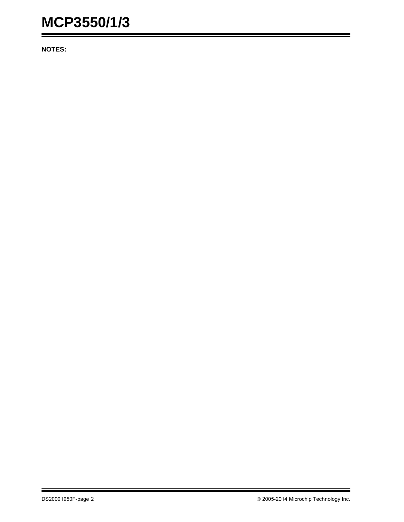**NOTES:**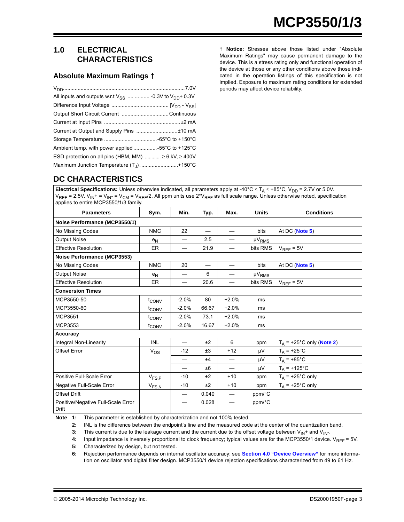### <span id="page-2-5"></span>**1.0 ELECTRICAL CHARACTERISTICS**

#### **Absolute Maximum Ratings †**

| All inputs and outputs w.r.t $V_{SS}$ -0.3V to $V_{DD}$ + 0.3V |  |
|----------------------------------------------------------------|--|
|                                                                |  |
|                                                                |  |
|                                                                |  |
|                                                                |  |
|                                                                |  |
| Ambient temp. with power applied 55°C to +125°C                |  |
| ESD protection on all pins (HBM, MM) $\geq 6$ kV, $\geq 400V$  |  |
| Maximum Junction Temperature $(T_1)$ +150°C                    |  |

**† Notice:** Stresses above those listed under "Absolute Maximum Ratings" may cause permanent damage to the device. This is a stress rating only and functional operation of the device at those or any other conditions above those indicated in the operation listings of this specification is not implied. Exposure to maximum rating conditions for extended periods may affect device reliability.

## **DC CHARACTERISTICS**

**Electrical Specifications:** Unless otherwise indicated, all parameters apply at -40°C  $\leq T_A \leq +85$ °C, V<sub>DD</sub> = 2.7V or 5.0V.  $V_{REF}$  = 2.5V.  $V_{IN}$  =  $V_{IN}$  =  $V_{CM}$  =  $V_{REF}/2$ . All ppm units use 2\* $V_{REF}$  as full scale range. Unless otherwise noted, specification applies to entire MCP3550/1/3 family.

| <b>Parameters</b>                                        | Sym.              | Min.                          | Typ.  | Max.                                                      | <b>Units</b>  | <b>Conditions</b>                    |
|----------------------------------------------------------|-------------------|-------------------------------|-------|-----------------------------------------------------------|---------------|--------------------------------------|
| Noise Performance (MCP3550/1)                            |                   |                               |       |                                                           |               |                                      |
| No Missing Codes                                         | <b>NMC</b>        | 22                            |       | $\overline{\phantom{0}}$                                  | bits          | At DC (Note 5)                       |
| <b>Output Noise</b>                                      | e <sub>N</sub>    | $\overbrace{\phantom{13333}}$ | 2.5   | $\overline{\phantom{0}}$                                  | $\mu V_{RMS}$ |                                      |
| <b>Effective Resolution</b>                              | ER.               | $\overline{\phantom{0}}$      | 21.9  | $\overline{\phantom{0}}$                                  | bits RMS      | $V_{REF} = 5V$                       |
| Noise Performance (MCP3553)                              |                   |                               |       |                                                           |               |                                      |
| No Missing Codes                                         | <b>NMC</b>        | 20                            |       | $\overline{\phantom{0}}$                                  | bits          | At DC (Note 5)                       |
| <b>Output Noise</b>                                      | e <sub>N</sub>    |                               | 6     | $\overline{\phantom{0}}$                                  | $\mu V_{RMS}$ |                                      |
| <b>Effective Resolution</b>                              | <b>ER</b>         | $\overline{\phantom{0}}$      | 20.6  |                                                           | bits RMS      | $V_{REF}$ = 5V                       |
| <b>Conversion Times</b>                                  |                   |                               |       |                                                           |               |                                      |
| MCP3550-50                                               | t <sub>CONV</sub> | $-2.0%$                       | 80    | $+2.0%$                                                   | ms            |                                      |
| MCP3550-60                                               | t <sub>CONV</sub> | $-2.0%$                       | 66.67 | $+2.0%$                                                   | ms            |                                      |
| <b>MCP3551</b>                                           | t <sub>CONV</sub> | $-2.0%$                       | 73.1  | $+2.0%$                                                   | ms            |                                      |
| MCP3553                                                  | t <sub>CONV</sub> | $-2.0%$                       | 16.67 | $+2.0%$                                                   | ms            |                                      |
| Accuracy                                                 |                   |                               |       |                                                           |               |                                      |
| Integral Non-Linearity                                   | <b>INL</b>        |                               | ±2    | 6                                                         | ppm           | $T_A$ = +25°C only ( <b>Note 2</b> ) |
| <b>Offset Error</b>                                      | $V_{OS}$          | $-12$                         | ±3    | $+12$                                                     | μV            | $T_A$ = +25°C                        |
|                                                          |                   | $\overbrace{\phantom{13333}}$ | ±4    | $\overbrace{\phantom{13333}}$                             | μV            | $T_A$ = +85°C                        |
|                                                          |                   | $\overline{\phantom{0}}$      | ±6    | $\overline{\phantom{0}}$                                  | μV            | $T_A$ = +125°C                       |
| Positive Full-Scale Error                                | $V_{FS,P}$        | $-10$                         | ±2    | $+10$                                                     | ppm           | $T_A$ = +25°C only                   |
| Negative Full-Scale Error                                | $V_{FS,N}$        | $-10$                         | ±2    | $+10$                                                     | ppm           | $T_A$ = +25°C only                   |
| <b>Offset Drift</b>                                      |                   |                               | 0.040 | $\overline{\phantom{0}}$                                  | ppm/°C        |                                      |
| Positive/Negative Full-Scale Error<br>Drift<br>$-1$<br>. |                   |                               | 0.028 | $\mathbf{r}$ . $\mathbf{r}$ , $\mathbf{r}$ , $\mathbf{r}$ | ppm/°C        |                                      |

<span id="page-2-4"></span><span id="page-2-2"></span><span id="page-2-1"></span>**Note 1:** This parameter is established by characterization and not 100% tested.

**2:** INL is the difference between the endpoint's line and the measured code at the center of the quantization band.

**3:** This current is due to the leakage current and the current due to the offset voltage between  $V_{IN}$ + and  $V_{IN}$ -

<span id="page-2-3"></span>**4:** Input impedance is inversely proportional to clock frequency; typical values are for the MCP3550/1 device. V<sub>REF</sub> = 5V.

<span id="page-2-0"></span>**5:** Characterized by design, but not tested.

**6:** Rejection performance depends on internal oscillator accuracy; see **[Section 4.0 "Device Overview"](#page-14-0)** for more information on oscillator and digital filter design. MCP3550/1 device rejection specifications characterized from 49 to 61 Hz.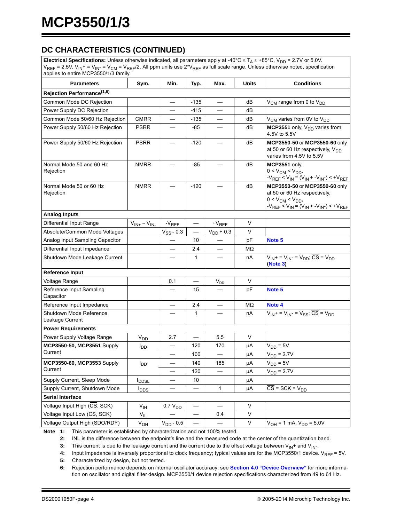## **DC CHARACTERISTICS (CONTINUED)**

**Electrical Specifications:** Unless otherwise indicated, all parameters apply at -40°C  $\leq T_A \leq +85$ °C, V<sub>DD</sub> = 2.7V or 5.0V.  $V_{REF}$  = 2.5V.  $V_{IN}$  =  $V_{IN}$  =  $V_{CM}$  =  $V_{REF}/2$ . All ppm units use 2\* $V_{REF}$  as full scale range. Unless otherwise noted, specification applies to entire MCP3550/1/3 family.

| <b>Parameters</b>                          | Sym.                   | Min.           | Typ.   | Max.                     | <b>Units</b> | <b>Conditions</b>                                                                                                                                   |
|--------------------------------------------|------------------------|----------------|--------|--------------------------|--------------|-----------------------------------------------------------------------------------------------------------------------------------------------------|
| Rejection Performance <sup>(1,6)</sup>     |                        |                |        |                          |              |                                                                                                                                                     |
| Common Mode DC Rejection                   |                        |                | $-135$ | $\qquad \qquad -$        | dB           | $V_{CM}$ range from 0 to $V_{DD}$                                                                                                                   |
| Power Supply DC Rejection                  |                        |                | $-115$ |                          | dB           |                                                                                                                                                     |
| Common Mode 50/60 Hz Rejection             | <b>CMRR</b>            |                | -135   |                          | dB           | V <sub>CM</sub> varies from 0V to V <sub>DD</sub>                                                                                                   |
| Power Supply 50/60 Hz Rejection            | <b>PSRR</b>            |                | -85    |                          | dB           | MCP3551 only, V <sub>DD</sub> varies from<br>4.5V to 5.5V                                                                                           |
| Power Supply 50/60 Hz Rejection            | <b>PSRR</b>            |                | $-120$ |                          | dB           | MCP3550-50 or MCP3550-60 only<br>at 50 or 60 Hz respectively, $V_{DD}$<br>varies from 4.5V to 5.5V                                                  |
| Normal Mode 50 and 60 Hz<br>Rejection      | <b>NMRR</b>            |                | -85    |                          | dB           | <b>MCP3551 only,</b><br>$0 < V_{CM} < V_{DD}$<br>$-V_{REF}$ < $V_{IN}$ = $(V_{IN} + -V_{IN})$ < $+V_{REF}$                                          |
| Normal Mode 50 or 60 Hz<br>Rejection       | <b>NMRR</b>            |                | $-120$ |                          | dB           | MCP3550-50 or MCP3550-60 only<br>at 50 or 60 Hz respectively,<br>$0 < V_{CM} < V_{DD}$<br>$-V_{REF}$ < $V_{IN}$ = $(V_{IN} + -V_{IN})$ < $+V_{REF}$ |
| <b>Analog Inputs</b>                       |                        |                |        |                          |              |                                                                                                                                                     |
| Differential Input Range                   | $V_{IN+} - V_{IN-}$    | $-V_{REF}$     |        | $+V_{REF}$               | V            |                                                                                                                                                     |
| Absolute/Common Mode Voltages              |                        | $V_{SS}$ - 0.3 |        | $V_{DD} + 0.3$           | V            |                                                                                                                                                     |
| Analog Input Sampling Capacitor            |                        |                | 10     |                          | pF           | Note 5                                                                                                                                              |
| Differential Input Impedance               |                        |                | 2.4    | $\overline{\phantom{0}}$ | МΩ           |                                                                                                                                                     |
| Shutdown Mode Leakage Current              |                        |                | 1      |                          | nA           | $V_{IN}$ + = $V_{IN}$ - = $V_{DD}$ ; $\overline{CS}$ = $V_{DD}$<br>(Note 3)                                                                         |
| <b>Reference Input</b>                     |                        |                |        |                          |              |                                                                                                                                                     |
| Voltage Range                              |                        | 0.1            |        | $V_{DD}$                 | V            |                                                                                                                                                     |
| Reference Input Sampling<br>Capacitor      |                        |                | 15     |                          | pF           | Note 5                                                                                                                                              |
| Reference Input Impedance                  |                        |                | 2.4    |                          | MΩ           | Note 4                                                                                                                                              |
| Shutdown Mode Reference<br>Leakage Current |                        |                | 1      |                          | nA           | $V_{IN}$ + = $V_{IN}$ - = $V_{SS}$ ; $\overline{CS}$ = $V_{DD}$                                                                                     |
| <b>Power Requirements</b>                  |                        |                |        |                          |              |                                                                                                                                                     |
| Power Supply Voltage Range                 | V <sub>DD</sub>        | 2.7            |        | 5.5                      | V            |                                                                                                                                                     |
| MCP3550-50, MCP3551 Supply                 | $I_{DD}$               |                | 120    | 170                      | μA           | $V_{DD} = 5V$                                                                                                                                       |
| Current                                    |                        |                | 100    |                          | μA           | $V_{DD} = 2.7V$                                                                                                                                     |
| MCP3550-60, MCP3553 Supply                 | <b>I</b> <sub>DD</sub> |                | 140    | 185                      | μA           | $V_{DD} = 5V$                                                                                                                                       |
| Current                                    |                        |                | 120    |                          | $\mu A$      | $V_{DD} = 2.7V$                                                                                                                                     |
| Supply Current, Sleep Mode                 | <b>I</b> DDSL          |                | 10     |                          | μA           |                                                                                                                                                     |
| Supply Current, Shutdown Mode              | $I_{\text{DDS}}$       |                |        | 1                        | μA           | $\overline{CS}$ = SCK = $V_{DD}$                                                                                                                    |
| <b>Serial Interface</b>                    |                        |                |        |                          |              |                                                                                                                                                     |
| Voltage Input High (CS, SCK)               | $V_{\text{IH}}$        | $0.7 V_{DD}$   |        |                          | V            |                                                                                                                                                     |
| Voltage Input Low $(\overline{CS}, SCK)$   | $V_{IL}$               |                |        | 0.4                      | $\vee$       |                                                                                                                                                     |
| Voltage Output High (SDO/RDY)              | $V_{OH}$               | $V_{DD}$ - 0.5 |        |                          | $\vee$       | $V_{OH} = 1$ mA, $V_{DD} = 5.0V$                                                                                                                    |

**Note 1:** This parameter is established by characterization and not 100% tested.

**2:** INL is the difference between the endpoint's line and the measured code at the center of the quantization band.

**3:** This current is due to the leakage current and the current due to the offset voltage between  $V_{IN}$ + and  $V_{IN}$ -

**4:** Input impedance is inversely proportional to clock frequency; typical values are for the MCP3550/1 device. V<sub>REF</sub> = 5V.

**5:** Characterized by design, but not tested.

**6:** Rejection performance depends on internal oscillator accuracy; see **Section 4.0 "Device Overview"** for more information on oscillator and digital filter design. MCP3550/1 device rejection specifications characterized from 49 to 61 Hz.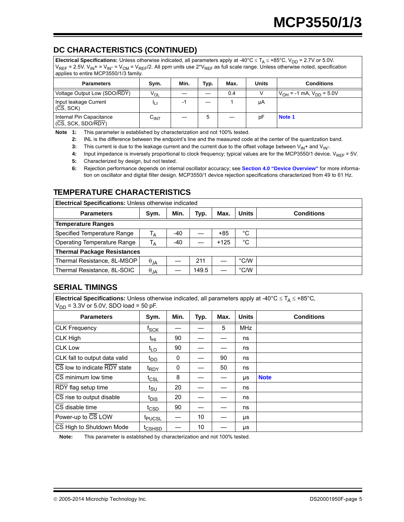## **DC CHARACTERISTICS (CONTINUED)**

**Electrical Specifications:** Unless otherwise indicated, all parameters apply at -40°C  $\leq T_A \leq +85$ °C, V<sub>DD</sub> = 2.7V or 5.0V.  $V_{REF}$  = 2.5V.  $V_{IN}$  =  $V_{IN}$  =  $V_{CM}$  =  $V_{REF}$  /2. All ppm units use 2\* $V_{REF}$  as full scale range. Unless otherwise noted, specification applies to entire MCP3550/1/3 family.

| <b>Parameters</b>                              | Sym.             | Min. | Typ. | Max. | <b>Units</b> | <b>Conditions</b>                 |
|------------------------------------------------|------------------|------|------|------|--------------|-----------------------------------|
| Voltage Output Low (SDO/RDY)                   | $V_{OL}$         |      |      | 0.4  |              | $V_{OH}$ = -1 mA, $V_{DD}$ = 5.0V |
| Input leakage Current<br>(CS, SCK)             | ЧΠ               | - 1  |      |      | μA           |                                   |
| Internal Pin Capacitance<br>(GS, SCK, SDO/RDY) | C <sub>INT</sub> |      | 5    |      | рF           | Note <sub>1</sub>                 |

**Note 1:** This parameter is established by characterization and not 100% tested.

- **2:** INL is the difference between the endpoint's line and the measured code at the center of the quantization band.
- **3:** This current is due to the leakage current and the current due to the offset voltage between  $V_{\text{IN}}$ + and  $V_{\text{IN}}$ -
- **4:** Input impedance is inversely proportional to clock frequency; typical values are for the MCP3550/1 device. V<sub>REF</sub> = 5V.
- **5:** Characterized by design, but not tested.
- **6:** Rejection performance depends on internal oscillator accuracy; see **Section 4.0 "Device Overview"** for more information on oscillator and digital filter design. MCP3550/1 device rejection specifications characterized from 49 to 61 Hz.

## **TEMPERATURE CHARACTERISTICS**

| <b>Electrical Specifications: Unless otherwise indicated</b> |                |      |       |        |               |                   |  |  |  |  |  |  |  |
|--------------------------------------------------------------|----------------|------|-------|--------|---------------|-------------------|--|--|--|--|--|--|--|
| <b>Parameters</b>                                            | Sym.           | Min. | Typ.  | Max.   | <b>Units</b>  | <b>Conditions</b> |  |  |  |  |  |  |  |
| <b>Temperature Ranges</b>                                    |                |      |       |        |               |                   |  |  |  |  |  |  |  |
| Specified Temperature Range                                  | T <sub>A</sub> | -40  |       | $+85$  | °C            |                   |  |  |  |  |  |  |  |
| Operating Temperature Range                                  | T <sub>A</sub> | -40  |       | $+125$ | °C            |                   |  |  |  |  |  |  |  |
| <b>Thermal Package Resistances</b>                           |                |      |       |        |               |                   |  |  |  |  |  |  |  |
| Thermal Resistance, 8L-MSOP                                  | $\theta_{JA}$  |      | 211   |        | $\degree$ C/W |                   |  |  |  |  |  |  |  |
| Thermal Resistance, 8L-SOIC                                  | $\theta_{JA}$  |      | 149.5 |        | $\degree$ C/W |                   |  |  |  |  |  |  |  |

## <span id="page-4-1"></span>**SERIAL TIMINGS**

**Electrical Specifications:** Unless otherwise indicated, all parameters apply at -40°C  $\leq T_A \leq +85^{\circ}C$ ,  $V_{DD}$  = 3.3V or 5.0V, SDO load = 50 pF.

| <b>Parameters</b>                                                    | Sym.               | Min. | Typ. | Max. | <b>Units</b> | <b>Conditions</b> |
|----------------------------------------------------------------------|--------------------|------|------|------|--------------|-------------------|
| <b>CLK Frequency</b>                                                 | $f_{\mathsf{SCK}}$ |      |      | 5    | <b>MHz</b>   |                   |
| CLK High                                                             | tнı                | 90   |      |      | ns           |                   |
| <b>CLK Low</b>                                                       | $t_{LO}$           | 90   |      |      | ns           |                   |
| CLK fall to output data valid                                        | t <sub>DO</sub>    | 0    |      | 90   | ns           |                   |
| $\overline{\text{CS}}$ low to indicate $\overline{\text{RDY}}$ state | t <sub>RDY</sub>   | 0    |      | 50   | ns           |                   |
| $\overline{\text{CS}}$ minimum low time                              | $t_{\text{CSL}}$   | 8    |      |      | μs           | <b>Note</b>       |
| RDY flag setup time                                                  | t <sub>SU</sub>    | 20   |      |      | ns           |                   |
| $\overline{\text{CS}}$ rise to output disable                        | t <sub>DIS</sub>   | 20   |      |      | ns           |                   |
| $\overline{\text{CS}}$ disable time                                  | $t_{\text{CSD}}$   | 90   |      |      | ns           |                   |
| Power-up to CS LOW                                                   | <sup>t</sup> PUCSL | —    | 10   |      | μs           |                   |
| CS High to Shutdown Mode                                             | t <sub>CSHSD</sub> |      | 10   |      | μs           |                   |

<span id="page-4-0"></span>**Note:** This parameter is established by characterization and not 100% tested.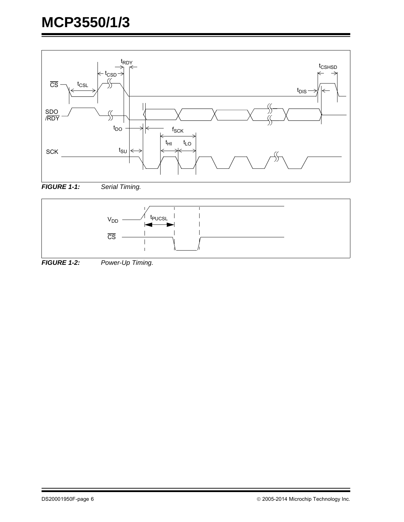





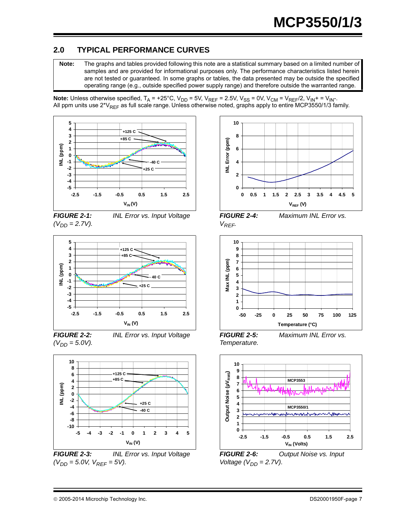## **2.0 TYPICAL PERFORMANCE CURVES**

**Note:** The graphs and tables provided following this note are a statistical summary based on a limited number of samples and are provided for informational purposes only. The performance characteristics listed herein are not tested or guaranteed. In some graphs or tables, the data presented may be outside the specified operating range (e.g., outside specified power supply range) and therefore outside the warranted range.

**Note:** Unless otherwise specified,  $T_A = +25^{\circ}$ C,  $V_{DD} = 5$ V,  $V_{REF} = 2.5$ V,  $V_{SS} = 0$ V,  $V_{CM} = V_{REF}/2$ ,  $V_{IN} + V_{IN}$ . All ppm units use  $2^xV_{REF}$  as full scale range. Unless otherwise noted, graphs apply to entire MCP3550/1/3 family.



*FIGURE 2-1: INL Error vs. Input Voltage*   $(V_{DD} = 2.7V)$ .



*FIGURE 2-2: INL Error vs. Input Voltage*   $(V_{DD} = 5.0V)$ .



*FIGURE 2-3: INL Error vs. Input Voltage*   $(V_{DD} = 5.0V, V_{REF} = 5V).$ 



<span id="page-6-0"></span>*FIGURE 2-4: Maximum INL Error vs. VREF.*



*FIGURE 2-5: Maximum INL Error vs. Temperature.*



*FIGURE 2-6: Output Noise vs. Input Voltage (* $V_{DD} = 2.7V$ *).*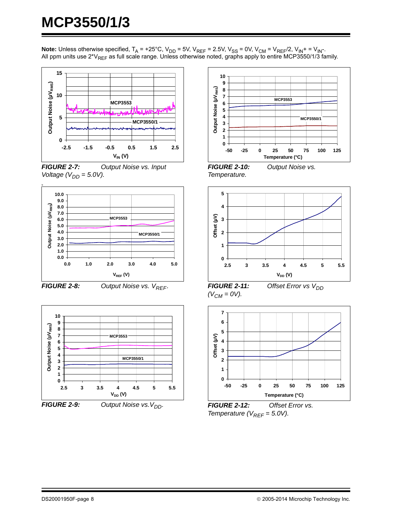**Note:** Unless otherwise specified, T<sub>A</sub> = +25°C, V<sub>DD</sub> = 5V, V<sub>REF</sub> = 2.5V, V<sub>SS</sub> = 0V, V<sub>CM</sub> = V<sub>REF</sub>/2, V<sub>IN</sub>+ = V<sub>IN</sub>-. All ppm units use 2\*V<sub>REF</sub> as full scale range. Unless otherwise noted, graphs apply to entire MCP3550/1/3 family.







u

*FIGURE 2-8: Output Noise vs. V<sub>RFF</sub>.* 





*Temperature.*





*FIGURE 2-11: Offset Error vs V<sub>DD</sub>*  $(V_{CM} = OV).$ 



*FIGURE 2-12: Offset Error vs. Temperature (* $V_{REF} = 5.0V$ *).*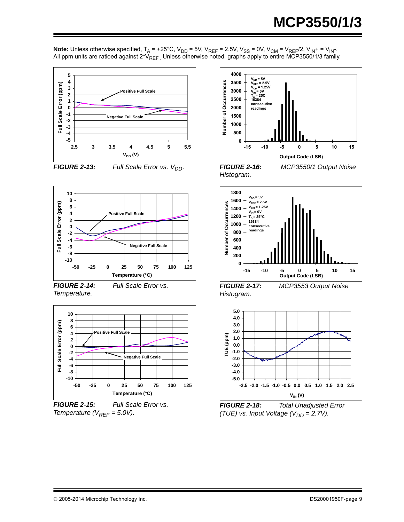**Note:** Unless otherwise specified,  $T_A$  = +25°C,  $V_{DD}$  = 5V,  $V_{REF}$  = 2.5V,  $V_{SS}$  = 0V,  $V_{CM}$  =  $V_{REF}/2$ ,  $V_{IN}$  + =  $V_{IN}$ . All ppm units are ratioed against 2\*V<sub>REF</sub> Unless otherwise noted, graphs apply to entire MCP3550/1/3 family.







*FIGURE 2-14: Full Scale Error vs. Temperature.*



*FIGURE 2-15: Full Scale Error vs. Temperature (* $V_{REF} = 5.0V$ *).* 



*Histogram.*



*FIGURE 2-17: MCP3553 Output Noise Histogram.*



*FIGURE 2-18: Total Unadjusted Error (TUE) vs. Input Voltage*  $(V_{DD} = 2.7V)$ *.*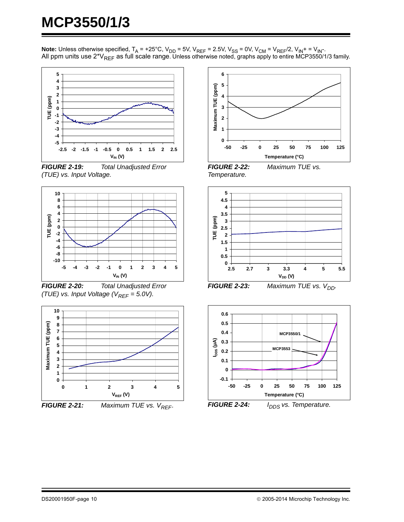**Note:** Unless otherwise specified, T<sub>A</sub> = +25°C, V<sub>DD</sub> = 5V, V<sub>REF</sub> = 2.5V, V<sub>SS</sub> = 0V, V<sub>CM</sub> = V<sub>REF</sub>/2, V<sub>IN</sub>+ = V<sub>IN</sub>-. All ppm units use 2\*V<sub>REF</sub> as full scale range. Unless otherwise noted, graphs apply to entire MCP3550/1/3 family.







*FIGURE 2-20: Total Unadjusted Error (TUE) vs. Input Voltage (V<sub>REF</sub> = 5.0V).* 



*FIGURE 2-21: Maximum TUE vs. V<sub>REF</sub>.* 









*FIGURE 2-23: Maximum TUE vs. V<sub>DD</sub>.* 



**FIGURE 2-24:** *I<sub>DDS</sub> vs. Temperature.*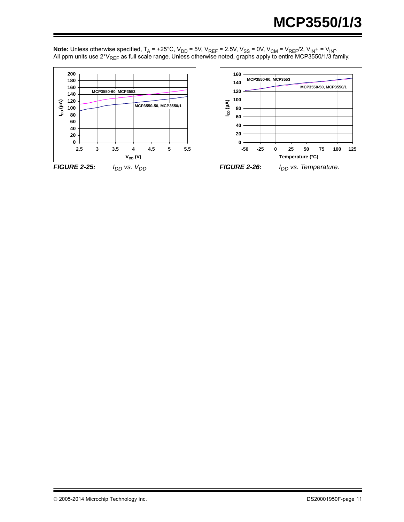

**Note:** Unless otherwise specified, T<sub>A</sub> = +25°C, V<sub>DD</sub> = 5V, V<sub>REF</sub> = 2.5V, V<sub>SS</sub> = 0V, V<sub>CM</sub> = V<sub>REF</sub>/2, V<sub>IN</sub>+ = V<sub>IN</sub>-. All ppm units use 2\*V<sub>REF</sub> as full scale range. Unless otherwise noted, graphs apply to entire MCP3550/1/3 family.

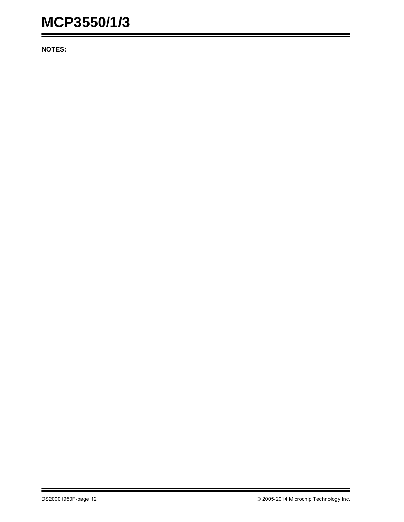**NOTES:**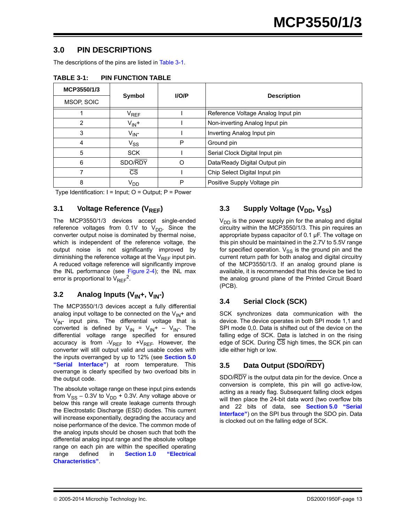## **3.0 PIN DESCRIPTIONS**

The descriptions of the pins are listed in [Table 3-1.](#page-12-0)

| MCP3550/1/3 |                             | I/O/P |                                    |  |  |  |  |  |
|-------------|-----------------------------|-------|------------------------------------|--|--|--|--|--|
| MSOP, SOIC  | Symbol                      |       | <b>Description</b>                 |  |  |  |  |  |
|             | $\mathsf{V}_{\mathsf{REF}}$ |       | Reference Voltage Analog Input pin |  |  |  |  |  |
| 2           | $V_{\text{IN}}+$            |       | Non-inverting Analog Input pin     |  |  |  |  |  |
| 3           | $V_{IN}$                    |       | Inverting Analog Input pin         |  |  |  |  |  |
| 4           | $V_{SS}$                    | P     | Ground pin                         |  |  |  |  |  |
| 5           | <b>SCK</b>                  |       | Serial Clock Digital Input pin     |  |  |  |  |  |
| 6           | SDO/RDY                     | O     | Data/Ready Digital Output pin      |  |  |  |  |  |
|             | $\overline{\text{CS}}$      |       | Chip Select Digital Input pin      |  |  |  |  |  |
| 8           | V <sub>DD</sub>             | P     | Positive Supply Voltage pin        |  |  |  |  |  |

#### <span id="page-12-0"></span>**TABLE 3-1: PIN FUNCTION TABLE**

Type Identification:  $I = Input$ ;  $O = Output$ ;  $P = Power$ 

#### **3.1** Voltage Reference (V<sub>RFF</sub>)

The MCP3550/1/3 devices accept single-ended reference voltages from  $0.1V$  to  $V_{DD}$ . Since the converter output noise is dominated by thermal noise, which is independent of the reference voltage, the output noise is not significantly improved by diminishing the reference voltage at the  $V_{RFF}$  input pin. A reduced voltage reference will significantly improve the INL performance (see [Figure 2-4](#page-6-0)); the INL max error is proportional to  $V_{REF}^2$ .

### **3.2** Analog Inputs (V<sub>IN</sub>+, V<sub>IN</sub>-)

The MCP3550/1/3 devices accept a fully differential analog input voltage to be connected on the  $V_{IN}$ + and  $V_{1N^-}$  input pins. The differential voltage that is converted is defined by  $V_{IN} = V_{IN} + - V_{IN}$ . The differential voltage range specified for ensured accuracy is from - $V_{RFF}$  to + $V_{RFF}$ . However, the converter will still output valid and usable codes with the inputs overranged by up to 12% (see **[Section 5.0](#page-20-0) ["Serial Interface"](#page-20-0)**) at room temperature. This overrange is clearly specified by two overload bits in the output code.

The absolute voltage range on these input pins extends from  $V_{SS}$  – 0.3V to  $V_{DD}$  + 0.3V. Any voltage above or below this range will create leakage currents through the Electrostatic Discharge (ESD) diodes. This current will increase exponentially, degrading the accuracy and noise performance of the device. The common mode of the analog inputs should be chosen such that both the differential analog input range and the absolute voltage range on each pin are within the specified operating range defined in **[Section 1.0 "Electrical](#page-2-5) [Characteristics"](#page-2-5)**.

## **3.3** Supply Voltage (V<sub>DD</sub>, V<sub>SS</sub>)

 $V_{DD}$  is the power supply pin for the analog and digital circuitry within the MCP3550/1/3. This pin requires an appropriate bypass capacitor of 0.1 µF. The voltage on this pin should be maintained in the 2.7V to 5.5V range for specified operation.  $V_{SS}$  is the ground pin and the current return path for both analog and digital circuitry of the MCP3550/1/3. If an analog ground plane is available, it is recommended that this device be tied to the analog ground plane of the Printed Circuit Board (PCB).

## **3.4 Serial Clock (SCK)**

SCK synchronizes data communication with the device. The device operates in both SPI mode 1,1 and SPI mode 0,0. Data is shifted out of the device on the falling edge of SCK. Data is latched in on the rising edge of SCK. During CS high times, the SCK pin can idle either high or low.

## **3.5 Data Output (SDO/RDY)**

SDO/RDY is the output data pin for the device. Once a conversion is complete, this pin will go active-low, acting as a ready flag. Subsequent falling clock edges will then place the 24-bit data word (two overflow bits and 22 bits of data, see **[Section 5.0 "Serial](#page-20-0) [Interface"](#page-20-0)**) on the SPI bus through the SDO pin. Data is clocked out on the falling edge of SCK.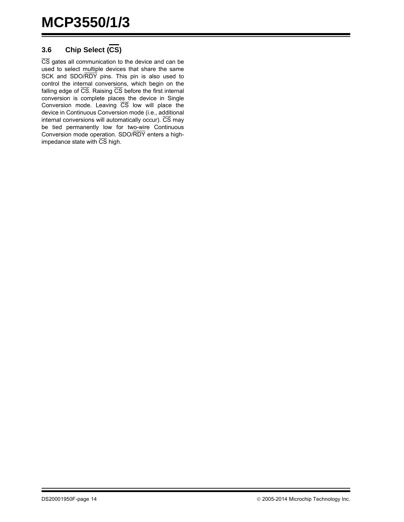### **3.6 Chip Select (CS)**

CS gates all communication to the device and can be used to select multiple devices that share the same SCK and SDO/RDY pins. This pin is also used to control the internal conversions, which begin on the falling edge of  $\overline{CS}$ . Raising  $\overline{CS}$  before the first internal conversion is complete places the device in Single Conversion mode. Leaving  $\overline{CS}$  low will place the device in Continuous Conversion mode (i.e., additional internal conversions will automatically occur).  $\overline{\text{CS}}$  may be tied permanently low for two-wire Continuous Conversion mode operation. SDO/RDY enters a highimpedance state with CS high.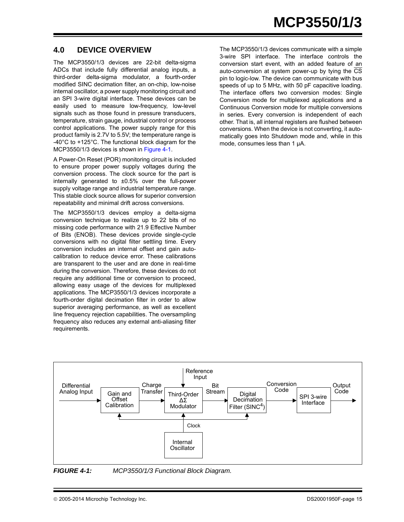## <span id="page-14-0"></span>**4.0 DEVICE OVERVIEW**

The MCP3550/1/3 devices are 22-bit delta-sigma ADCs that include fully differential analog inputs, a third-order delta-sigma modulator, a fourth-order modified SINC decimation filter, an on-chip, low-noise internal oscillator, a power supply monitoring circuit and an SPI 3-wire digital interface. These devices can be easily used to measure low-frequency, low-level signals such as those found in pressure transducers, temperature, strain gauge, industrial control or process control applications. The power supply range for this product family is 2.7V to 5.5V; the temperature range is -40°C to +125°C. The functional block diagram for the MCP3550/1/3 devices is shown in [Figure 4-1](#page-14-1).

A Power-On Reset (POR) monitoring circuit is included to ensure proper power supply voltages during the conversion process. The clock source for the part is internally generated to ±0.5% over the full-power supply voltage range and industrial temperature range. This stable clock source allows for superior conversion repeatability and minimal drift across conversions.

The MCP3550/1/3 devices employ a delta-sigma conversion technique to realize up to 22 bits of no missing code performance with 21.9 Effective Number of Bits (ENOB). These devices provide single-cycle conversions with no digital filter settling time. Every conversion includes an internal offset and gain autocalibration to reduce device error. These calibrations are transparent to the user and are done in real-time during the conversion. Therefore, these devices do not require any additional time or conversion to proceed, allowing easy usage of the devices for multiplexed applications. The MCP3550/1/3 devices incorporate a fourth-order digital decimation filter in order to allow superior averaging performance, as well as excellent line frequency rejection capabilities. The oversampling frequency also reduces any external anti-aliasing filter requirements.

The MCP3550/1/3 devices communicate with a simple 3-wire SPI interface. The interface controls the conversion start event, with an added feature of an auto-conversion at system power-up by tying the CS pin to logic-low. The device can communicate with bus speeds of up to 5 MHz, with 50 pF capacitive loading. The interface offers two conversion modes: Single Conversion mode for multiplexed applications and a Continuous Conversion mode for multiple conversions in series. Every conversion is independent of each other. That is, all internal registers are flushed between conversions. When the device is not converting, it automatically goes into Shutdown mode and, while in this mode, consumes less than 1  $\mu$ A.



<span id="page-14-1"></span>*FIGURE 4-1: MCP3550/1/3 Functional Block Diagram.*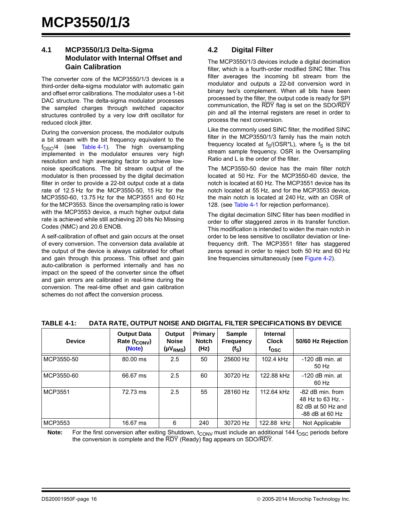#### **4.1 MCP3550/1/3 Delta-Sigma Modulator with Internal Offset and Gain Calibration**

The converter core of the MCP3550/1/3 devices is a third-order delta-sigma modulator with automatic gain and offset error calibrations. The modulator uses a 1-bit DAC structure. The delta-sigma modulator processes the sampled charges through switched capacitor structures controlled by a very low drift oscillator for reduced clock jitter.

During the conversion process, the modulator outputs a bit stream with the bit frequency equivalent to the  $f<sub>OSC</sub>/4$  (see [Table 4-1\)](#page-15-0). The high oversampling implemented in the modulator ensures very high resolution and high averaging factor to achieve lownoise specifications. The bit stream output of the modulator is then processed by the digital decimation filter in order to provide a 22-bit output code at a data rate of 12.5 Hz for the MCP3550-50, 15 Hz for the MCP3550-60, 13.75 Hz for the MCP3551 and 60 Hz for the MCP3553. Since the oversampling ratio is lower with the MCP3553 device, a much higher output data rate is achieved while still achieving 20 bits No Missing Codes (NMC) and 20.6 ENOB.

A self-calibration of offset and gain occurs at the onset of every conversion. The conversion data available at the output of the device is always calibrated for offset and gain through this process. This offset and gain auto-calibration is performed internally and has no impact on the speed of the converter since the offset and gain errors are calibrated in real-time during the conversion. The real-time offset and gain calibration schemes do not affect the conversion process.

#### **4.2 Digital Filter**

The MCP3550/1/3 devices include a digital decimation filter, which is a fourth-order modified SINC filter. This filter averages the incoming bit stream from the modulator and outputs a 22-bit conversion word in binary two's complement. When all bits have been processed by the filter, the output code is ready for SPI communication, the RDY flag is set on the SDO/RDY pin and all the internal registers are reset in order to process the next conversion.

Like the commonly used SINC filter, the modified SINC filter in the MCP3550/1/3 family has the main notch frequency located at  $f_S/(OSR^*L)$ , where  $f_S$  is the bit stream sample frequency. OSR is the Oversampling Ratio and L is the order of the filter.

The MCP3550-50 device has the main filter notch located at 50 Hz. For the MCP3550-60 device, the notch is located at 60 Hz. The MCP3551 device has its notch located at 55 Hz, and for the MCP3553 device, the main notch is located at 240 Hz, with an OSR of 128. (see [Table 4-1](#page-15-0) for rejection performance).

The digital decimation SINC filter has been modified in order to offer staggered zeros in its transfer function. This modification is intended to widen the main notch in order to be less sensitive to oscillator deviation or linefrequency drift. The MCP3551 filter has staggered zeros spread in order to reject both 50 Hz and 60 Hz line frequencies simultaneously (see [Figure 4-2](#page-16-0)).

| <b>Device</b> | <b>Output Data</b><br>Rate (t <sub>CONV</sub> )<br>(Note) | Output<br><b>Noise</b><br>(µV <sub>RMS</sub> ) | Primary<br><b>Notch</b><br>(Hz) | <b>Sample</b><br><b>Frequency</b><br>(f <sub>S</sub> ) | <b>Internal</b><br><b>Clock</b><br><sup>t</sup> osc | 50/60 Hz Rejection                                                             |
|---------------|-----------------------------------------------------------|------------------------------------------------|---------------------------------|--------------------------------------------------------|-----------------------------------------------------|--------------------------------------------------------------------------------|
| MCP3550-50    | 80.00 ms                                                  | 2.5                                            | 50                              | 25600 Hz                                               | 102.4 kHz                                           | $-120$ dB min. at<br>50 Hz                                                     |
| MCP3550-60    | 66.67 ms                                                  | 2.5                                            | 60                              | 30720 Hz                                               | 122.88 kHz                                          | $-120$ dB min. at<br>60 Hz                                                     |
| MCP3551       | 72.73 ms                                                  | 2.5                                            | 55                              | 28160 Hz                                               | 112.64 kHz                                          | -82 dB min. from<br>48 Hz to 63 Hz. -<br>82 dB at 50 Hz and<br>-88 dB at 60 Hz |
| MCP3553       | 16.67 ms                                                  | 6                                              | 240                             | 30720 Hz                                               | 122.88 kHz                                          | Not Applicable                                                                 |

<span id="page-15-0"></span>

| <b>TABLE 4-1:</b> | DATA RATE, OUTPUT NOISE AND DIGITAL FILTER SPECIFICATIONS BY DEVICE |
|-------------------|---------------------------------------------------------------------|
|                   |                                                                     |

<span id="page-15-1"></span>Note: For the first conversion after exiting Shutdown, t<sub>CONV</sub> must include an additional 144 f<sub>OSC</sub> periods before the conversion is complete and the RDY (Ready) flag appears on SDO/RDY.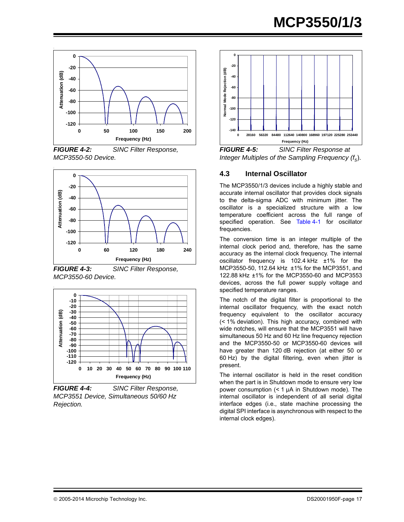

<span id="page-16-0"></span>*FIGURE 4-2: SINC Filter Response, MCP3550-50 Device.*



*FIGURE 4-3: SINC Filter Response, MCP3550-60 Device.*



*FIGURE 4-4: SINC Filter Response, MCP3551 Device, Simultaneous 50/60 Hz Rejection.*



*FIGURE 4-5: SINC Filter Response at Integer Multiples of the Sampling Frequency (f<sub>s</sub>).* 

#### **4.3 Internal Oscillator**

The MCP3550/1/3 devices include a highly stable and accurate internal oscillator that provides clock signals to the delta-sigma ADC with minimum jitter. The oscillator is a specialized structure with a low temperature coefficient across the full range of specified operation. See [Table 4-1](#page-15-0) for oscillator frequencies.

The conversion time is an integer multiple of the internal clock period and, therefore, has the same accuracy as the internal clock frequency. The internal oscillator frequency is 102.4 kHz ±1% for the MCP3550-50, 112.64 kHz ±1% for the MCP3551, and 122.88 kHz ±1% for the MCP3550-60 and MCP3553 devices, across the full power supply voltage and specified temperature ranges.

The notch of the digital filter is proportional to the internal oscillator frequency, with the exact notch frequency equivalent to the oscillator accuracy (< 1% deviation). This high accuracy, combined with wide notches, will ensure that the MCP3551 will have simultaneous 50 Hz and 60 Hz line frequency rejection and the MCP3550-50 or MCP3550-60 devices will have greater than 120 dB rejection (at either 50 or 60 Hz) by the digital filtering, even when jitter is present.

The internal oscillator is held in the reset condition when the part is in Shutdown mode to ensure very low power consumption (< 1 µA in Shutdown mode). The internal oscillator is independent of all serial digital interface edges (i.e., state machine processing the digital SPI interface is asynchronous with respect to the internal clock edges).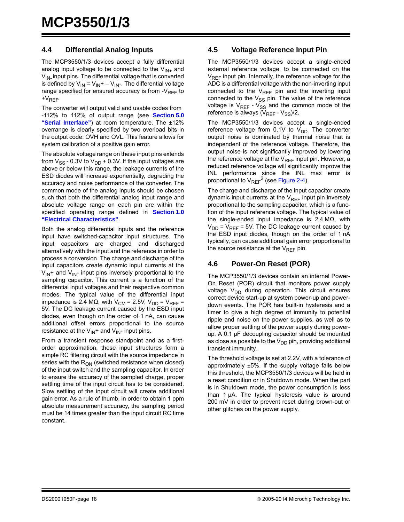#### **4.4 Differential Analog Inputs**

The MCP3550/1/3 devices accept a fully differential analog input voltage to be connected to the  $V_{1N+}$  and  $V_{\text{IN}}$  input pins. The differential voltage that is converted is defined by  $V_{IN} = V_{IN} + -V_{IN}$ . The differential voltage range specified for ensured accuracy is from  $-V_{RFF}$  to  $+V_{REF}$ 

The converter will output valid and usable codes from -112% to 112% of output range (see **[Section 5.0](#page-20-0) ["Serial Interface"](#page-20-0)**) at room temperature. The ±12% overrange is clearly specified by two overload bits in the output code: OVH and OVL. This feature allows for system calibration of a positive gain error.

The absolute voltage range on these input pins extends from  $V_{SS}$  - 0.3V to  $V_{DD}$  + 0.3V. If the input voltages are above or below this range, the leakage currents of the ESD diodes will increase exponentially, degrading the accuracy and noise performance of the converter. The common mode of the analog inputs should be chosen such that both the differential analog input range and absolute voltage range on each pin are within the specified operating range defined in **[Section 1.0](#page-2-5) ["Electrical Characteristics"](#page-2-5)**.

Both the analog differential inputs and the reference input have switched-capacitor input structures. The input capacitors are charged and discharged alternatively with the input and the reference in order to process a conversion. The charge and discharge of the input capacitors create dynamic input currents at the  $V_{IN}$ + and  $V_{IN}$ - input pins inversely proportional to the sampling capacitor. This current is a function of the differential input voltages and their respective common modes. The typical value of the differential input impedance is 2.4 MΩ, with  $V_{CM}$  = 2.5V,  $V_{DD}$  =  $V_{REF}$  = 5V. The DC leakage current caused by the ESD input diodes, even though on the order of 1 nA, can cause additional offset errors proportional to the source resistance at the  $V_{IN}$ + and  $V_{IN}$ - input pins.

From a transient response standpoint and as a firstorder approximation, these input structures form a simple RC filtering circuit with the source impedance in series with the  $R_{ON}$  (switched resistance when closed) of the input switch and the sampling capacitor. In order to ensure the accuracy of the sampled charge, proper settling time of the input circuit has to be considered. Slow settling of the input circuit will create additional gain error. As a rule of thumb, in order to obtain 1 ppm absolute measurement accuracy, the sampling period must be 14 times greater than the input circuit RC time constant.

#### **4.5 Voltage Reference Input Pin**

The MCP3550/1/3 devices accept a single-ended external reference voltage, to be connected on the V<sub>REF</sub> input pin. Internally, the reference voltage for the ADC is a differential voltage with the non-inverting input connected to the  $V_{RFF}$  pin and the inverting input connected to the  $V_{SS}$  pin. The value of the reference voltage is  $V_{REF}$  -  $V_{SS}$  and the common mode of the reference is always ( $V_{RFF}$  -  $V_{SS}$ )/2.

The MCP3550/1/3 devices accept a single-ended reference voltage from  $0.1V$  to  $V_{DD}$ . The converter output noise is dominated by thermal noise that is independent of the reference voltage. Therefore, the output noise is not significantly improved by lowering the reference voltage at the  $V_{REF}$  input pin. However, a reduced reference voltage will significantly improve the INL performance since the INL max error is proportional to  $V_{REF}^2$  (see [Figure 2-4\)](#page-6-0).

The charge and discharge of the input capacitor create dynamic input currents at the  $V_{RFF}$  input pin inversely proportional to the sampling capacitor, which is a function of the input reference voltage. The typical value of the single-ended input impedance is 2.4 MΩ, with  $V_{DD}$  =  $V_{REF}$  = 5V. The DC leakage current caused by the ESD input diodes, though on the order of 1 nA typically, can cause additional gain error proportional to the source resistance at the  $V_{REF}$  pin.

#### **4.6 Power-On Reset (POR)**

The MCP3550/1/3 devices contain an internal Power-On Reset (POR) circuit that monitors power supply voltage  $V_{DD}$  during operation. This circuit ensures correct device start-up at system power-up and powerdown events. The POR has built-in hysteresis and a timer to give a high degree of immunity to potential ripple and noise on the power supplies, as well as to allow proper settling of the power supply during powerup. A 0.1 µF decoupling capacitor should be mounted as close as possible to the  $V_{DD}$  pin, providing additional transient immunity.

The threshold voltage is set at 2.2V, with a tolerance of approximately ±5%. If the supply voltage falls below this threshold, the MCP3550/1/3 devices will be held in a reset condition or in Shutdown mode. When the part is in Shutdown mode, the power consumption is less than 1 µA. The typical hysteresis value is around 200 mV in order to prevent reset during brown-out or other glitches on the power supply.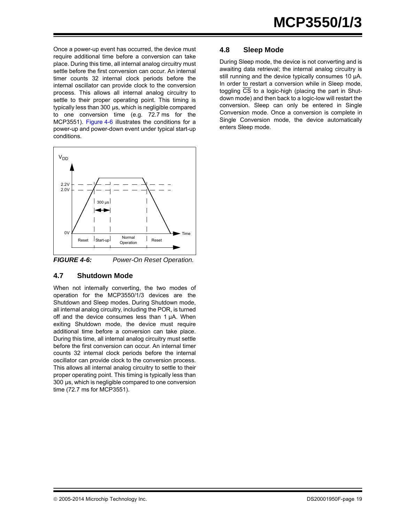Once a power-up event has occurred, the device must require additional time before a conversion can take place. During this time, all internal analog circuitry must settle before the first conversion can occur. An internal timer counts 32 internal clock periods before the internal oscillator can provide clock to the conversion process. This allows all internal analog circuitry to settle to their proper operating point. This timing is typically less than 300 µs, which is negligible compared to one conversion time (e.g. 72.7 ms for the MCP3551). [Figure 4-6](#page-18-0) illustrates the conditions for a power-up and power-down event under typical start-up conditions.



<span id="page-18-0"></span>*FIGURE 4-6: Power-On Reset Operation.*

#### **4.7 Shutdown Mode**

When not internally converting, the two modes of operation for the MCP3550/1/3 devices are the Shutdown and Sleep modes. During Shutdown mode, all internal analog circuitry, including the POR, is turned off and the device consumes less than 1 µA. When exiting Shutdown mode, the device must require additional time before a conversion can take place. During this time, all internal analog circuitry must settle before the first conversion can occur. An internal timer counts 32 internal clock periods before the internal oscillator can provide clock to the conversion process. This allows all internal analog circuitry to settle to their proper operating point. This timing is typically less than 300 µs, which is negligible compared to one conversion time (72.7 ms for MCP3551).

#### **4.8 Sleep Mode**

During Sleep mode, the device is not converting and is awaiting data retrieval; the internal analog circuitry is still running and the device typically consumes 10 µA. In order to restart a conversion while in Sleep mode, toggling  $\overline{CS}$  to a logic-high (placing the part in Shutdown mode) and then back to a logic-low will restart the conversion. Sleep can only be entered in Single Conversion mode. Once a conversion is complete in Single Conversion mode, the device automatically enters Sleep mode.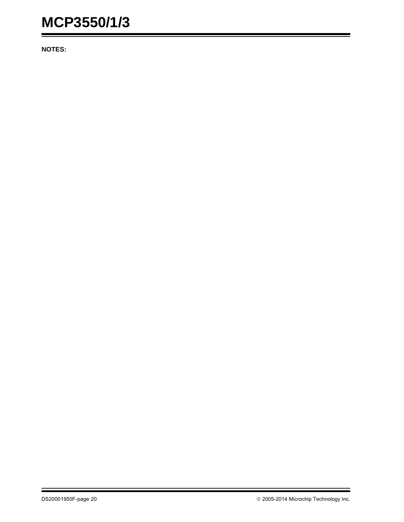**NOTES:**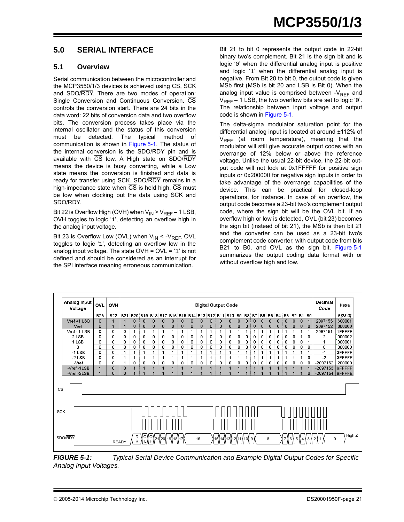## <span id="page-20-0"></span>**5.0 SERIAL INTERFACE**

#### **5.1 Overview**

Serial communication between the microcontroller and the MCP3550/1/3 devices is achieved using CS, SCK and SDO/RDY. There are two modes of operation: Single Conversion and Continuous Conversion. CS controls the conversion start. There are 24 bits in the data word: 22 bits of conversion data and two overflow bits. The conversion process takes place via the internal oscillator and the status of this conversion must be detected. The typical method of communication is shown in [Figure 5-1.](#page-20-1) The status of the internal conversion is the SDO/RDY pin and is available with  $\overline{\text{CS}}$  low. A High state on SDO/RDY means the device is busy converting, while a Low state means the conversion is finished and data is ready for transfer using SCK. SDO/RDY remains in a high-impedance state when  $\overline{CS}$  is held high.  $\overline{CS}$  must be low when clocking out the data using SCK and SDO/RDY.

Bit 22 is Overflow High (OVH) when  $V_{IN}$  >  $V_{REF}$  – 1 LSB, OVH toggles to logic '1', detecting an overflow high in the analog input voltage.

Bit 23 is Overflow Low (OVL) when  $V_{IN} < -V_{REF}$ , OVL toggles to logic '1', detecting an overflow low in the analog input voltage. The state OVH =  $OVL = '1'$  is not defined and should be considered as an interrupt for the SPI interface meaning erroneous communication.

Bit 21 to bit 0 represents the output code in 22-bit binary two's complement. Bit 21 is the sign bit and is logic '0' when the differential analog input is positive and logic '1' when the differential analog input is negative. From Bit 20 to bit 0, the output code is given MSb first (MSb is bit 20 and LSB is Bit 0). When the analog input value is comprised between - $V_{RFF}$  and  $V_{REF}$  – 1 LSB, the two overflow bits are set to logic '0'. The relationship between input voltage and output code is shown in [Figure 5-1.](#page-20-1)

The delta-sigma modulator saturation point for the differential analog input is located at around ±112% of  $V_{\text{DEF}}$  (at room temperature), meaning that the modulator will still give accurate output codes with an overrange of 12% below or above the reference voltage. Unlike the usual 22-bit device, the 22-bit output code will not lock at 0x1FFFFF for positive sign inputs or 0x200000 for negative sign inputs in order to take advantage of the overrange capabilities of the device. This can be practical for closed-loop operations, for instance. In case of an overflow, the output code becomes a 23-bit two's complement output code, where the sign bit will be the OVL bit. If an overflow high or low is detected, OVL (bit 23) becomes the sign bit (instead of bit 21), the MSb is then bit 21 and the converter can be used as a 23-bit two's complement code converter, with output code from bits B21 to B0, and OVL as the sign bit. [Figure 5-1](#page-20-1) summarizes the output coding data format with or without overflow high and low.

| Analog Input<br>Voltage                                            | OVL          | OVH         |              | <b>Digital Output Code</b> |              |                                         |             |              |             |              |          |             |   |               |             | Decimal<br>Code | Hexa        |                |                   |              |             |          |              |              |            |               |
|--------------------------------------------------------------------|--------------|-------------|--------------|----------------------------|--------------|-----------------------------------------|-------------|--------------|-------------|--------------|----------|-------------|---|---------------|-------------|-----------------|-------------|----------------|-------------------|--------------|-------------|----------|--------------|--------------|------------|---------------|
|                                                                    | <b>B23</b>   | <b>B22</b>  | <b>B21</b>   |                            |              | B20 B19 B18 B17 B16 B15 B14 B13 B12 B11 |             |              |             |              |          |             |   | <b>B10 B9</b> |             | B8              | <b>B7</b>   | B <sub>6</sub> | B5 B4 B3 B2 B1 B0 |              |             |          |              |              |            | B[23:0]       |
| Vref +1 LSB                                                        | $\mathbf{0}$ | 1           |              | $\mathbf 0$                | $\Omega$     | $\Omega$                                | 0           | $\Omega$     | 0           | o            | $\Omega$ | $\mathbf 0$ | 0 | $\Omega$      | $\Omega$    | $\Omega$        | $\Omega$    | $\Omega$       | o                 | $\Omega$     | $\Omega$    | $\Omega$ | $\Omega$     |              | 2097153    | 600001        |
| Vref                                                               | $\mathbf{0}$ | 1           |              | 0                          | $\mathbf{0}$ | $\Omega$                                | $\Omega$    | $\mathbf{0}$ | $\mathbf 0$ | 0            | $\Omega$ | $\Omega$    | 0 | $\Omega$      | $\mathbf 0$ | $\mathbf{0}$    | $\Omega$    | $\Omega$       | 0                 | $\mathbf{0}$ | $\mathbf 0$ | $\Omega$ | $\mathbf 0$  | $\bullet$    | 2097152    | 600000        |
| Vref - 1 LSB                                                       | 0            | 0           | 0            | 1                          |              | 1                                       | 1           | 1            |             |              |          | 1           |   |               |             |                 |             | 1              | 1                 |              | 1           |          | $\mathbf{1}$ | 1            | 2097151    | 1FFFFF        |
| 2 LSB                                                              | 0            | 0           | 0            | $\mathbf 0$                | 0            | 0                                       | 0           | 0            | 0           | 0            | 0        | 0           | 0 | 0             | 0           | 0               | 0           | 0              | 0                 | 0            | 0           | 0        | 1            | 0            | 2          | 000002        |
| 1 LSB                                                              | 0            | $\mathbf 0$ | 0            | $\mathbf 0$                | 0            | 0                                       | $\Omega$    | 0            | 0           | $\mathbf 0$  | 0        | $\mathbf 0$ | 0 | 0             | 0           | 0               | $\mathbf 0$ | $\mathbf 0$    | 0                 | 0            | $\Omega$    | 0        | 0            | 1            |            | 000001        |
| 0                                                                  | 0            | 0           | 0            | 0                          | 0            | 0                                       | $\mathbf 0$ | 0            | 0           | 0            | 0        | 0           | 0 | 0             | 0           | 0               | $\Omega$    | 0              | 0                 | 0            | 0           | 0        | 0            | $\Omega$     | 0          | 000000        |
| $-1$ LSB                                                           | $\Omega$     | 0           | $\mathbf{1}$ | 1                          |              | 1                                       | 1           | 1            | 1           | $\mathbf{I}$ | 1        | 1           | 1 | 1             | 1           | 1               | 1           | 1              | 1                 | 1            | 1           |          | 1            | $\mathbf{1}$ | $-1$       | 3FFFFF        |
| $-2$ LSB                                                           | 0            | 0           | $\mathbf{1}$ | 1                          |              | 1                                       | 1           | 1            | 1           | $\mathbf{1}$ | 1        | 1           | 1 | 1             | 1           | 1               | 1           | 1              | 1                 | 1            | 1           | 1        | 1            | 0            | $-2$       | <b>3FFFFE</b> |
| -Vref                                                              | 0            | 0           | $\mathbf{1}$ | 0                          | 0            | 0                                       | 0           | 0            | 0           | 0            | 0        | $\mathbf 0$ | 0 | 0             | 0           | 0               | 0           | 0              | 0                 | 0            | 0           | 0        | 0            | 0            | -2097152   | 200000        |
| -Vref-1LSB                                                         |              | 0           | $\mathbf 0$  | 4                          |              |                                         |             |              |             |              |          | 1           |   |               |             |                 |             |                |                   |              |             |          |              |              | $-2097153$ | 9FFFFF        |
| -Vref-2LSB                                                         |              | 0           | $\Omega$     |                            |              |                                         |             |              |             |              |          |             |   |               |             |                 |             |                |                   |              |             |          |              | $\Omega$     | $-2097154$ | 9FFFFE        |
|                                                                    |              |             |              |                            |              |                                         |             |              |             |              |          |             |   |               |             |                 |             |                |                   |              |             |          |              |              |            |               |
|                                                                    |              |             |              |                            |              |                                         |             |              |             |              |          |             |   |               |             |                 |             |                |                   |              |             |          |              |              |            |               |
| High Z<br>lovo'<br>D<br>SDO/RDY<br>5<br>15)(14)(13)(12)(11)(10)[9] |              |             |              |                            |              |                                         |             |              |             |              |          |             |   |               |             |                 |             |                |                   |              |             |          |              |              |            |               |

<span id="page-20-1"></span>*FIGURE 5-1: Typical Serial Device Communication and Example Digital Output Codes for Specific Analog Input Voltages.*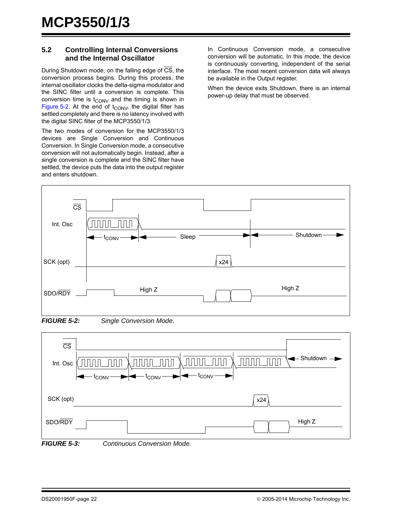#### **5.2 Controlling Internal Conversions and the Internal Oscillator**

During Shutdown mode, on the falling edge of CS, the conversion process begins. During this process, the internal oscillator clocks the delta-sigma modulator and the SINC filter until a conversion is complete. This conversion time is  $t_{CONV}$  and the timing is shown in [Figure 5-2.](#page-21-0) At the end of  $t_{\text{CONV}}$ , the digital filter has settled completely and there is no latency involved with the digital SINC filter of the MCP3550/1/3.

The two modes of conversion for the MCP3550/1/3 devices are Single Conversion and Continuous Conversion. In Single Conversion mode, a consecutive conversion will not automatically begin. Instead, after a single conversion is complete and the SINC filter have settled, the device puts the data into the output register and enters shutdown.

In Continuous Conversion mode, a consecutive conversion will be automatic. In this mode, the device is continuously converting, independent of the serial interface. The most recent conversion data will always be available in the Output register.

When the device exits Shutdown, there is an internal power-up delay that must be observed.



<span id="page-21-0"></span>

<span id="page-21-1"></span>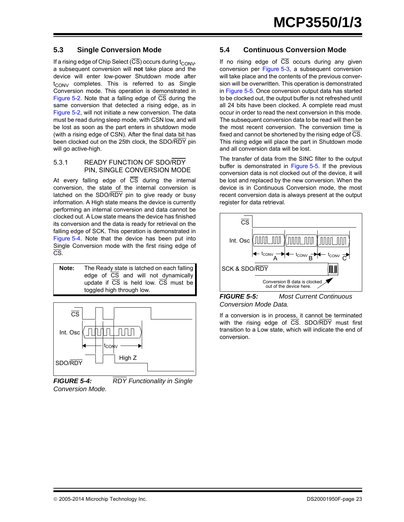#### **5.3 Single Conversion Mode**

If a rising edge of Chip Select  $(\overline{CS})$  occurs during  $t_{\text{CONV}}$ , a subsequent conversion will **not** take place and the device will enter low-power Shutdown mode after  $t_{CONV}$  completes. This is referred to as Single Conversion mode. This operation is demonstrated in Figure  $5-2$ . Note that a falling edge of  $\overline{CS}$  during the same conversion that detected a rising edge, as in [Figure 5-2,](#page-21-0) will not initiate a new conversion. The data must be read during sleep mode, with CSN low, and will be lost as soon as the part enters in shutdown mode (with a rising edge of CSN). After the final data bit has been clocked out on the 25th clock, the SDO/RDY pin will go active-high.

#### 5.3.1 READY FUNCTION OF SDO/RDY PIN, SINGLE CONVERSION MODE

At every falling edge of  $\overline{CS}$  during the internal conversion, the state of the internal conversion is latched on the SDO/RDY pin to give ready or busy information. A High state means the device is currently performing an internal conversion and data cannot be clocked out. A Low state means the device has finished its conversion and the data is ready for retrieval on the falling edge of SCK. This operation is demonstrated in [Figure 5-4.](#page-22-0) Note that the device has been put into Single Conversion mode with the first rising edge of CS.





<span id="page-22-0"></span>

#### **5.4 Continuous Conversion Mode**

If no rising edge of  $\overline{CS}$  occurs during any given conversion per [Figure 5-3,](#page-21-1) a subsequent conversion will take place and the contents of the previous conversion will be overwritten. This operation is demonstrated in [Figure 5-5](#page-22-1). Once conversion output data has started to be clocked out, the output buffer is not refreshed until all 24 bits have been clocked. A complete read must occur in order to read the next conversion in this mode. The subsequent conversion data to be read will then be the most recent conversion. The conversion time is fixed and cannot be shortened by the rising edge of  $\overline{\text{CS}}$ . This rising edge will place the part in Shutdown mode and all conversion data will be lost.

The transfer of data from the SINC filter to the output buffer is demonstrated in [Figure 5-5](#page-22-1). If the previous conversion data is not clocked out of the device, it will be lost and replaced by the new conversion. When the device is in Continuous Conversion mode, the most recent conversion data is always present at the output register for data retrieval.



<span id="page-22-1"></span>

If a conversion is in process, it cannot be terminated with the rising edge of  $\overline{CS}$ . SDO/RDY must first transition to a Low state, which will indicate the end of conversion.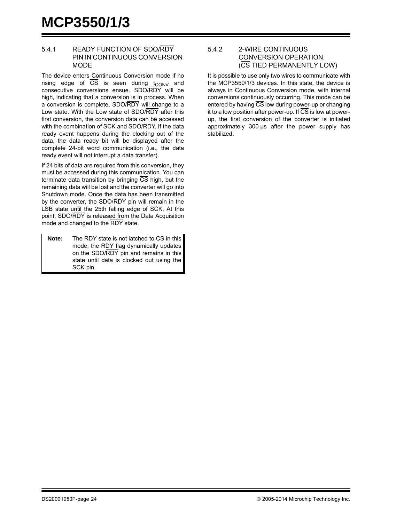#### 5.4.1 READY FUNCTION OF SDO/RDY PIN IN CONTINUOUS CONVERSION MODE

The device enters Continuous Conversion mode if no rising edge of  $\overline{CS}$  is seen during  $t_{CONV}$  and consecutive conversions ensue. SDO/RDY will be high, indicating that a conversion is in process. When a conversion is complete, SDO/RDY will change to a Low state. With the Low state of SDO/RDY after this first conversion, the conversion data can be accessed with the combination of SCK and SDO/RDY. If the data ready event happens during the clocking out of the data, the data ready bit will be displayed after the complete 24-bit word communication (i.e., the data ready event will not interrupt a data transfer).

If 24 bits of data are required from this conversion, they must be accessed during this communication. You can terminate data transition by bringing CS high, but the remaining data will be lost and the converter will go into Shutdown mode. Once the data has been transmitted by the converter, the SDO/RDY pin will remain in the LSB state until the 25th falling edge of SCK. At this point, SDO/RDY is released from the Data Acquisition mode and changed to the RDY state.

**Note:** The RDY state is not latched to CS in this mode; the RDY flag dynamically updates on the SDO/RDY pin and remains in this state until data is clocked out using the SCK pin.

#### 5.4.2 2-WIRE CONTINUOUS CONVERSION OPERATION, (CS TIED PERMANENTLY LOW)

It is possible to use only two wires to communicate with the MCP3550/1/3 devices. In this state, the device is always in Continuous Conversion mode, with internal conversions continuously occurring. This mode can be entered by having  $\overline{CS}$  low during power-up or changing it to a low position after power-up. If  $\overline{CS}$  is low at powerup, the first conversion of the converter is initiated approximately 300 µs after the power supply has stabilized.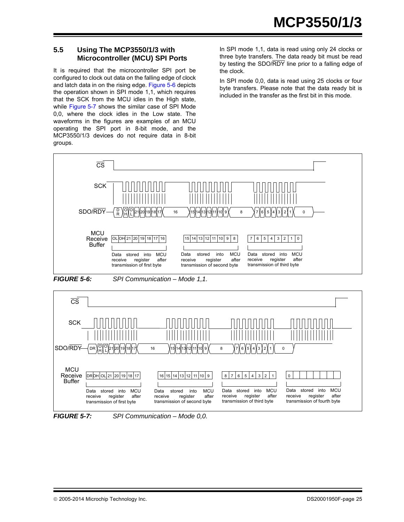#### **5.5 Using The MCP3550/1/3 with Microcontroller (MCU) SPI Ports**

It is required that the microcontroller SPI port be configured to clock out data on the falling edge of clock and latch data in on the rising edge. [Figure 5-6](#page-24-0) depicts the operation shown in SPI mode 1,1, which requires that the SCK from the MCU idles in the High state, while [Figure 5-7](#page-24-1) shows the similar case of SPI Mode 0,0, where the clock idles in the Low state. The waveforms in the figures are examples of an MCU operating the SPI port in 8-bit mode, and the MCP3550/1/3 devices do not require data in 8-bit groups.

In SPI mode 1,1, data is read using only 24 clocks or three byte transfers. The data ready bit must be read by testing the SDO/RDY line prior to a falling edge of the clock.

In SPI mode 0,0, data is read using 25 clocks or four byte transfers. Please note that the data ready bit is included in the transfer as the first bit in this mode.





<span id="page-24-0"></span>*FIGURE 5-6: SPI Communication – Mode 1,1.*



<span id="page-24-1"></span>

*FIGURE 5-7: SPI Communication – Mode 0,0.*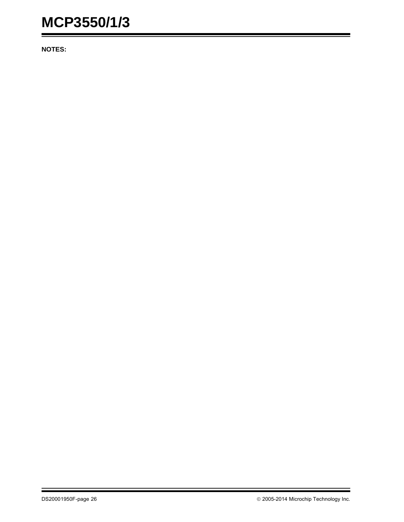**NOTES:**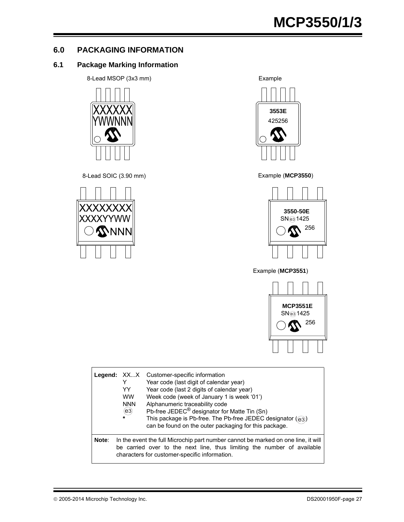### **6.0 PACKAGING INFORMATION**

#### **6.1 Package Marking Information**





8-Lead SOIC (3.90 mm) Example (**MCP3550**)







Example (**MCP3551**)



|       | YY<br><b>WW</b><br><b>NNN</b><br>$\left(  e3\right)$<br>$\star$ | <b>Legend:</b> XXX Customer-specific information<br>Year code (last digit of calendar year)<br>Year code (last 2 digits of calendar year)<br>Week code (week of January 1 is week '01')<br>Alphanumeric traceability code<br>Pb-free JEDEC <sup>®</sup> designator for Matte Tin (Sn)<br>This package is Pb-free. The Pb-free JEDEC designator ((e3))<br>can be found on the outer packaging for this package. |
|-------|-----------------------------------------------------------------|----------------------------------------------------------------------------------------------------------------------------------------------------------------------------------------------------------------------------------------------------------------------------------------------------------------------------------------------------------------------------------------------------------------|
| Note: |                                                                 | In the event the full Microchip part number cannot be marked on one line, it will<br>be carried over to the next line, thus limiting the number of available<br>characters for customer-specific information.                                                                                                                                                                                                  |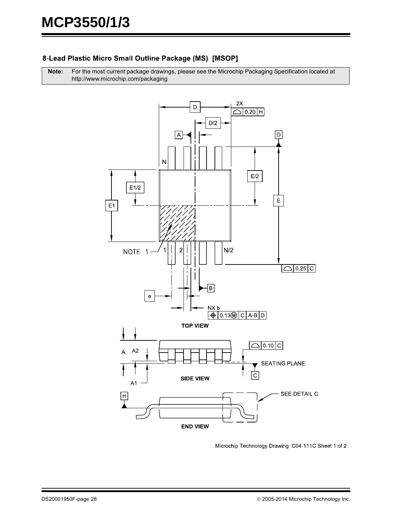#### 8-Lead Plastic Micro Small Outline Package (MS) [MSOP]

**Note:** For the most current package drawings, please see the Microchip Packaging Specification located at http://www.microchip.com/packaging



Microchip Technology Drawing C04-111C Sheet 1 of 2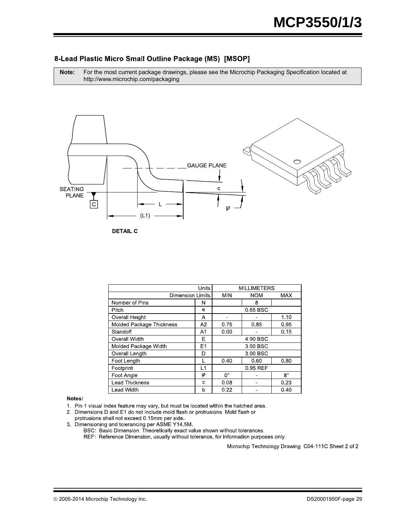#### 8-Lead Plastic Micro Small Outline Package (MS) [MSOP]

**Note:** For the most current package drawings, please see the Microchip Packaging Specification located at http://www.microchip.com/packaging



**DETAIL C** 

|                                 | <b>MILLIMETERS</b> |            |            |             |  |  |  |  |
|---------------------------------|--------------------|------------|------------|-------------|--|--|--|--|
| <b>Dimension Limits</b>         | <b>MIN</b>         | <b>NOM</b> | <b>MAX</b> |             |  |  |  |  |
| Number of Pins                  | N                  |            | 8          |             |  |  |  |  |
| Pitch                           | е                  |            | 0.65 BSC   |             |  |  |  |  |
| <b>Overall Height</b>           | A                  |            |            | 1.10        |  |  |  |  |
| <b>Molded Package Thickness</b> | A <sub>2</sub>     | 0.75       | 0.85       | 0.95        |  |  |  |  |
| Standoff                        | A <sub>1</sub>     | 0.00       |            | 0.15        |  |  |  |  |
| Overall Width                   | Е                  |            | 4 90 BSC   |             |  |  |  |  |
| Molded Package Width            | E <sub>1</sub>     |            | 3.00 BSC   |             |  |  |  |  |
| Overall Length                  | D                  |            | 3.00 BSC   |             |  |  |  |  |
| Foot Length                     |                    | 0.40       | 0.60       | 0.80        |  |  |  |  |
| Footprint                       | L1                 | 0.95 REF   |            |             |  |  |  |  |
| Foot Angle                      | φ                  | 0°         |            | $8^{\circ}$ |  |  |  |  |
| <b>Lead Thickness</b>           | C                  | 0.08       | 0.23       |             |  |  |  |  |
| <b>Lead Width</b>               | b                  | 0.22       |            | 0.40        |  |  |  |  |

#### Notes:

1. Pin 1 visual index feature may vary, but must be located within the hatched area.

- 2. Dimensions D and E1 do not include mold flash or protrusions. Mold flash or protrusions shall not exceed 0.15mm per side.
- 3. Dimensioning and tolerancing per ASME Y14.5M. BSC: Basic Dimension. Theoretically exact value shown without tolerances. REF: Reference Dimension, usually without tolerance, for information purposes only.

Microchip Technology Drawing C04-111C Sheet 2 of 2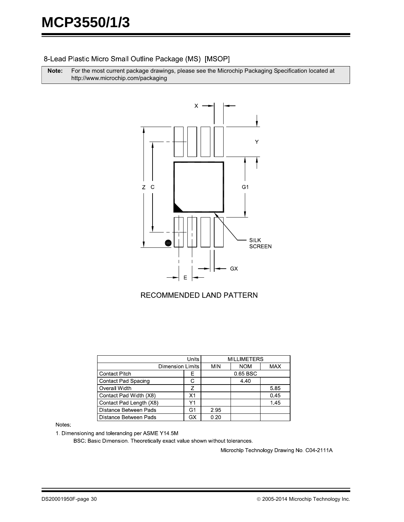### 8-Lead Plastic Micro Small Outline Package (MS) [MSOP]

**Note:** For the most current package drawings, please see the Microchip Packaging Specification located at http://www.microchip.com/packaging



#### **RECOMMENDED LAND PATTERN**

|                            | <b>Units</b>            | <b>MILLIMETERS</b> |            |            |
|----------------------------|-------------------------|--------------------|------------|------------|
|                            | <b>Dimension Limits</b> |                    | <b>NOM</b> | <b>MAX</b> |
| <b>Contact Pitch</b>       | F                       | 065BSC             |            |            |
| <b>Contact Pad Spacing</b> |                         |                    | 4.40       |            |
| Overall Width              | 7                       |                    |            | 5.85       |
| Contact Pad Width (X8)     | Χ1                      |                    |            | 0.45       |
| Contact Pad Length (X8)    | Υ1                      |                    |            | 1.45       |
| Distance Between Pads      | G1                      | 2.95               |            |            |
| Distance Between Pads      | GX                      | 0.20               |            |            |

#### Notes:

1. Dimensioning and tolerancing per ASME Y14.5M

BSC: Basic Dimension. Theoretically exact value shown without tolerances.

Microchip Technology Drawing No. C04-2111A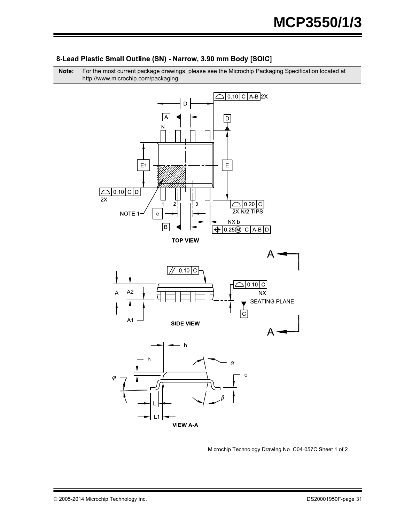

#### 8-Lead Plastic Small Outline (SN) - Narrow, 3.90 mm Body [SOIC]

**Note:** For the most current package drawings, please see the Microchip Packaging Specification located at http://www.microchip.com/packaging

Microchip Technology Drawing No. C04-057C Sheet 1 of 2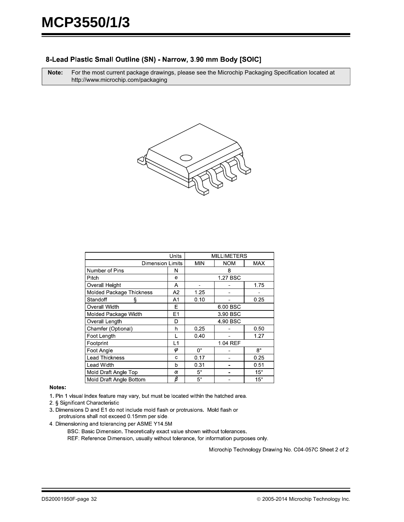#### 8-Lead Plastic Small Outline (SN) - Narrow, 3.90 mm Body [SOIC]

**Note:** For the most current package drawings, please see the Microchip Packaging Specification located at http://www.microchip.com/packaging



|                          | Units   | <b>MILLIMETERS</b> |            |              |
|--------------------------|---------|--------------------|------------|--------------|
| <b>Dimension Limits</b>  |         | MIN                | <b>NOM</b> | MAX          |
| Number of Pins           | N       | 8                  |            |              |
| Pitch                    | е       | 1.27 BSC           |            |              |
| Overall Height           | Α       |                    |            | 1.75         |
| Molded Package Thickness | A2      | 1.25               |            |              |
| Standoff<br>ş            | A1      | 0.10               |            | 0.25         |
| <b>Overall Width</b>     | F       | 6.00 BSC           |            |              |
| Molded Package Width     | E1      | 3 90 BSC           |            |              |
| Overall Length           | D       | 4 90 BSC           |            |              |
| Chamfer (Optional)       | h       | 0.25               |            | 0.50         |
| Foot Length              |         | 0.40               |            | 1.27         |
| Footprint                | L1      | 1.04 REF           |            |              |
| Foot Angle               | φ       | $0^{\circ}$        |            | $8^{\circ}$  |
| <b>Lead Thickness</b>    | С       | 0.17               |            | 0.25         |
| Lead Width               | b       | 0.31               |            | 0.51         |
| Mold Draft Angle Top     | α       | $5^{\circ}$        |            | $15^\circ$   |
| Mold Draft Angle Bottom  | $\beta$ | $5^{\circ}$        |            | $15^{\circ}$ |

#### Notes:

1. Pin 1 visual index feature may vary, but must be located within the hatched area.

2. § Significant Characteristic

- 3. Dimensions D and E1 do not include mold flash or protrusions. Mold flash or protrusions shall not exceed 0.15mm per side.
- 4. Dimensioning and tolerancing per ASME Y14.5M

BSC: Basic Dimension. Theoretically exact value shown without tolerances.

REF: Reference Dimension, usually without tolerance, for information purposes only.

Microchip Technology Drawing No. C04-057C Sheet 2 of 2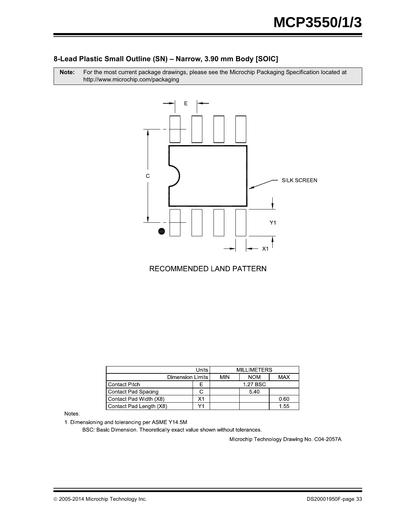#### **8-Lead Plastic Small Outline (SN) – Narrow, 3.90 mm Body [SOIC]**

Note: r the most current package drawings, please see the Microchip Packaging Specification located at http://www.microchip.com/packaging



### RECOMMENDED LAND PATTERN

|                         | Units l | <b>MILLIMETERS</b> |            |            |
|-------------------------|---------|--------------------|------------|------------|
| Dimension Limits        |         | MIN                | <b>NOM</b> | <b>MAX</b> |
| Contact Pitch           |         |                    | 1.27 BSC   |            |
| Contact Pad Spacing     |         |                    | 5.40       |            |
| Contact Pad Width (X8)  | X1      |                    |            | 0.60       |
| Contact Pad Length (X8) |         |                    |            | 1.55       |

Notes:

1. Dimensioning and tolerancing per ASME Y14.5M

BSC: Basic Dimension. Theoretically exact value shown without tolerances.

Microchip Technology Drawing No. C04-2057A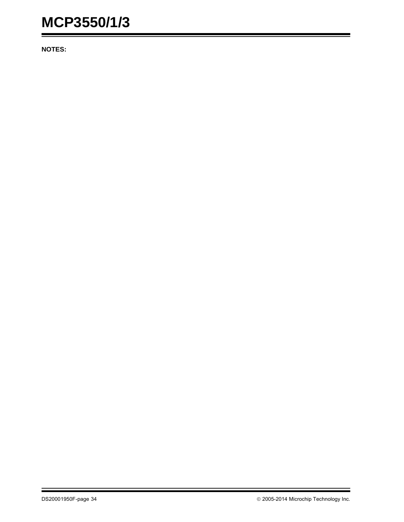**NOTES:**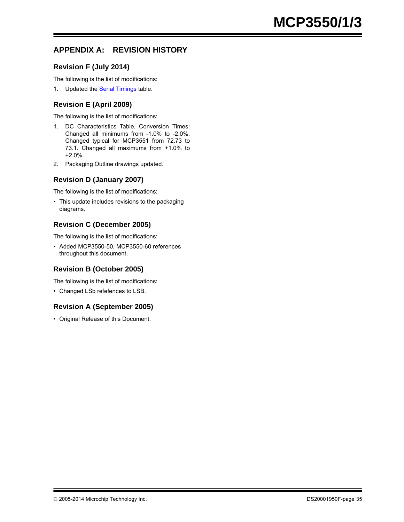## **APPENDIX A: REVISION HISTORY**

#### **Revision F (July 2014)**

The following is the list of modifications:

1. Updated the [Serial Timings](#page-4-1) table.

#### **Revision E (April 2009)**

The following is the list of modifications:

- 1. DC Characteristics Table, Conversion Times: Changed all minimums from -1.0% to -2.0%. Changed typical for MCP3551 from 72.73 to 73.1. Changed all maximums from +1.0% to +2.0%.
- 2. Packaging Outline drawings updated.

#### **Revision D (January 2007)**

The following is the list of modifications:

• This update includes revisions to the packaging diagrams.

#### **Revision C (December 2005)**

The following is the list of modifications:

• Added MCP3550-50, MCP3550-60 references throughout this document.

#### **Revision B (October 2005)**

The following is the list of modifications:

• Changed LSb refefences to LSB.

#### **Revision A (September 2005)**

• Original Release of this Document.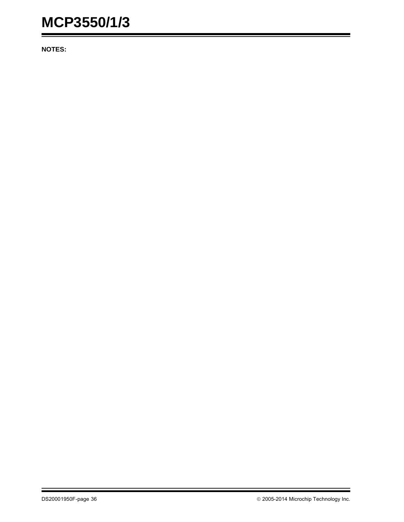**NOTES:**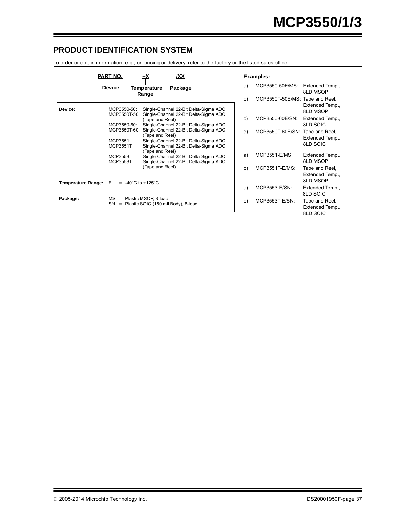### **PRODUCT IDENTIFICATION SYSTEM**

To order or obtain information, e.g., on pricing or delivery, refer to the factory or the listed sales office.

|                           | PART NO.                                                                                        | /XX<br>–х                                                                                                                                                                                                                                                                                                                                                     |                      | Examples:                                                                                              |                                                                                                              |
|---------------------------|-------------------------------------------------------------------------------------------------|---------------------------------------------------------------------------------------------------------------------------------------------------------------------------------------------------------------------------------------------------------------------------------------------------------------------------------------------------------------|----------------------|--------------------------------------------------------------------------------------------------------|--------------------------------------------------------------------------------------------------------------|
|                           | <b>Device</b>                                                                                   | Temperature<br>Package                                                                                                                                                                                                                                                                                                                                        | a)                   | MCP3550-50E/MS:                                                                                        | Extended Temp.,<br>8LD MSOP                                                                                  |
| Device:                   | MCP3550-50:<br>MCP3550T-50:<br>MCP3550-60:<br>MCP3550T-60:<br>MCP3551:<br>MCP3551T:<br>MCP3553: | Range<br>Single-Channel 22-Bit Delta-Sigma ADC<br>Single-Channel 22-Bit Delta-Sigma ADC<br>(Tape and Reel)<br>Single-Channel 22-Bit Delta-Sigma ADC<br>Single-Channel 22-Bit Delta-Sigma ADC<br>(Tape and Reel)<br>Single-Channel 22-Bit Delta-Sigma ADC<br>Single-Channel 22-Bit Delta-Sigma ADC<br>(Tape and Reel)<br>Single-Channel 22-Bit Delta-Sigma ADC | b)<br>C)<br>d)<br>a) | MCP3550T-50E/MS: Tape and Reel,<br>MCP3550-60E/SN:<br>MCP3550T-60E/SN: Tape and Reel,<br>MCP3551-E/MS: | Extended Temp.,<br>8LD MSOP<br>Extended Temp.,<br>8LD SOIC<br>Extended Temp.,<br>8LD SOIC<br>Extended Temp., |
|                           | MCP3553T:                                                                                       | Single-Channel 22-Bit Delta-Sigma ADC<br>(Tape and Reel)                                                                                                                                                                                                                                                                                                      | b)                   | MCP3551T-E/MS:                                                                                         | 8LD MSOP<br>Tape and Reel,<br>Extended Temp.,<br>8LD MSOP                                                    |
| <b>Temperature Range:</b> | $= -40^{\circ}$ C to +125°C<br>E                                                                | a)                                                                                                                                                                                                                                                                                                                                                            | MCP3553-E/SN:        | Extended Temp.,<br>8LD SOIC                                                                            |                                                                                                              |
| Package:                  | $MS =$ Plastic MSOP, 8-lead<br><b>SN</b><br>$\equiv$                                            | Plastic SOIC (150 mil Body), 8-lead                                                                                                                                                                                                                                                                                                                           | b)                   | MCP3553T-E/SN:                                                                                         | Tape and Reel,<br>Extended Temp.,<br>8LD SOIC                                                                |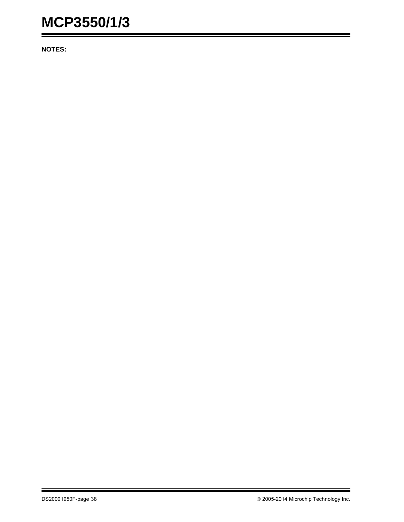**NOTES:**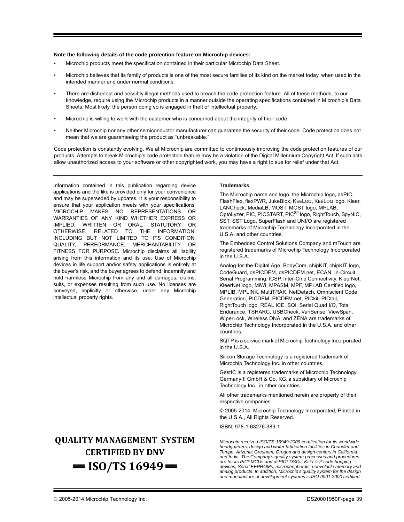#### **Note the following details of the code protection feature on Microchip devices:**

- Microchip products meet the specification contained in their particular Microchip Data Sheet.
- Microchip believes that its family of products is one of the most secure families of its kind on the market today, when used in the intended manner and under normal conditions.
- There are dishonest and possibly illegal methods used to breach the code protection feature. All of these methods, to our knowledge, require using the Microchip products in a manner outside the operating specifications contained in Microchip's Data Sheets. Most likely, the person doing so is engaged in theft of intellectual property.
- Microchip is willing to work with the customer who is concerned about the integrity of their code.
- Neither Microchip nor any other semiconductor manufacturer can guarantee the security of their code. Code protection does not mean that we are guaranteeing the product as "unbreakable."

Code protection is constantly evolving. We at Microchip are committed to continuously improving the code protection features of our products. Attempts to break Microchip's code protection feature may be a violation of the Digital Millennium Copyright Act. If such acts allow unauthorized access to your software or other copyrighted work, you may have a right to sue for relief under that Act.

Information contained in this publication regarding device applications and the like is provided only for your convenience and may be superseded by updates. It is your responsibility to ensure that your application meets with your specifications. MICROCHIP MAKES NO REPRESENTATIONS OR WARRANTIES OF ANY KIND WHETHER EXPRESS OR IMPLIED, WRITTEN OR ORAL, STATUTORY OR OTHERWISE, RELATED TO THE INFORMATION, INCLUDING BUT NOT LIMITED TO ITS CONDITION, QUALITY, PERFORMANCE, MERCHANTABILITY OR FITNESS FOR PURPOSE**.** Microchip disclaims all liability arising from this information and its use. Use of Microchip devices in life support and/or safety applications is entirely at the buyer's risk, and the buyer agrees to defend, indemnify and hold harmless Microchip from any and all damages, claims, suits, or expenses resulting from such use. No licenses are conveyed, implicitly or otherwise, under any Microchip intellectual property rights.

## **QUALITY MANAGEMENT SYSTEM CERTIFIED BY DNV**   $=$  **ISO/TS 16949** $=$

#### **Trademarks**

The Microchip name and logo, the Microchip logo, dsPIC, FlashFlex, flexPWR, JukeBlox, KEELOQ, KEELOQ logo, Kleer, LANCheck, MediaLB, MOST, MOST logo, MPLAB, OptoLyzer, PIC, PICSTART, PIC32 logo, RightTouch, SpyNIC, SST, SST Logo, SuperFlash and UNI/O are registered trademarks of Microchip Technology Incorporated in the U.S.A. and other countries.

The Embedded Control Solutions Company and mTouch are registered trademarks of Microchip Technology Incorporated in the U.S.A.

Analog-for-the-Digital Age, BodyCom, chipKIT, chipKIT logo, CodeGuard, dsPICDEM, dsPICDEM.net, ECAN, In-Circuit Serial Programming, ICSP, Inter-Chip Connectivity, KleerNet, KleerNet logo, MiWi, MPASM, MPF, MPLAB Certified logo, MPLIB, MPLINK, MultiTRAK, NetDetach, Omniscient Code Generation, PICDEM, PICDEM.net, PICkit, PICtail, RightTouch logo, REAL ICE, SQI, Serial Quad I/O, Total Endurance, TSHARC, USBCheck, VariSense, ViewSpan, WiperLock, Wireless DNA, and ZENA are trademarks of Microchip Technology Incorporated in the U.S.A. and other countries.

SQTP is a service mark of Microchip Technology Incorporated in the U.S.A.

Silicon Storage Technology is a registered trademark of Microchip Technology Inc. in other countries.

GestIC is a registered trademarks of Microchip Technology Germany II GmbH & Co. KG, a subsidiary of Microchip Technology Inc., in other countries.

All other trademarks mentioned herein are property of their respective companies.

© 2005-2014, Microchip Technology Incorporated, Printed in the U.S.A., All Rights Reserved.

ISBN: 978-1-63276-389-1

*Microchip received ISO/TS-16949:2009 certification for its worldwide headquarters, design and wafer fabrication facilities in Chandler and Tempe, Arizona; Gresham, Oregon and design centers in California and India. The Company's quality system processes and procedures are for its PIC® MCUs and dsPIC® DSCs, KEELOQ® code hopping devices, Serial EEPROMs, microperipherals, nonvolatile memory and analog products. In addition, Microchip's quality system for the design and manufacture of development systems is ISO 9001:2000 certified.*